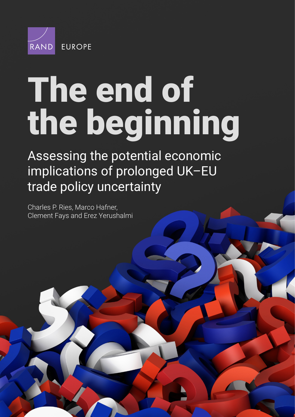

# The end of [the beginning](https://www.rand.org/pubs/research_reports/RR4265.html)

Assessing the potential economic implications of prolonged UK–EU trade policy uncertainty

Charles P. Ries, Marco Hafner, Clement Fays and Erez Yerushalmi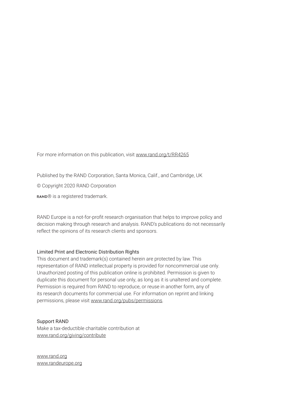For more information on this publication, visit [www.rand.org/t/RR4265](http://www.rand.org/t/RR4265)

Published by the RAND Corporation, Santa Monica, Calif., and Cambridge, UK

© Copyright 2020 RAND Corporation

RAND® is a registered trademark.

RAND Europe is a not-for-profit research organisation that helps to improve policy and decision making through research and analysis. RAND's publications do not necessarily reflect the opinions of its research clients and sponsors.

#### Limited Print and Electronic Distribution Rights

This document and trademark(s) contained herein are protected by law. This representation of RAND intellectual property is provided for noncommercial use only. Unauthorized posting of this publication online is prohibited. Permission is given to duplicate this document for personal use only, as long as it is unaltered and complete. Permission is required from RAND to reproduce, or reuse in another form, any of its research documents for commercial use. For information on reprint and linking permissions, please visit [www.rand.org/pubs/permissions.](http://www.rand.org/pubs/permissions)

#### Support RAND

Make a tax-deductible charitable contribution at [www.rand.org/giving/contribute](http://www.rand.org/giving/contribute)

[www.rand.org](http://www.rand.org) [www.randeurope.org](http://www.randeurope.org)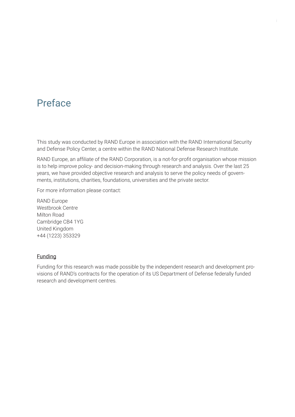## Preface

This study was conducted by RAND Europe in association with the RAND International Security and Defense Policy Center, a centre within the RAND National Defense Research Institute.

RAND Europe, an affiliate of the RAND Corporation, is a not-for-profit organisation whose mission is to help improve policy- and decision-making through research and analysis. Over the last 25 years, we have provided objective research and analysis to serve the policy needs of governments, institutions, charities, foundations, universities and the private sector.

For more information please contact:

RAND Europe Westbrook Centre Milton Road Cambridge CB4 1YG United Kingdom +44 (1223) 353329

#### **Funding**

Funding for this research was made possible by the independent research and development provisions of RAND's contracts for the operation of its US Department of Defense federally funded research and development centres.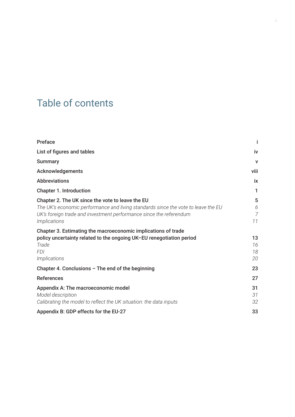## Table of contents

| <b>Preface</b>                                                                                                                                                                                                                     | İ                    |
|------------------------------------------------------------------------------------------------------------------------------------------------------------------------------------------------------------------------------------|----------------------|
| List of figures and tables                                                                                                                                                                                                         | iv                   |
| <b>Summary</b>                                                                                                                                                                                                                     | $\mathbf{V}$         |
| Acknowledgements                                                                                                                                                                                                                   | viii                 |
| <b>Abbreviations</b>                                                                                                                                                                                                               | ix                   |
| <b>Chapter 1. Introduction</b>                                                                                                                                                                                                     | 1                    |
| Chapter 2. The UK since the vote to leave the EU<br>The UK's economic performance and living standards since the vote to leave the EU<br>UK's foreign trade and investment performance since the referendum<br><i>Implications</i> | 5<br>6<br>7<br>11    |
| Chapter 3. Estimating the macroeconomic implications of trade<br>policy uncertainty related to the ongoing UK-EU renegotiation period<br>Trade<br><b>FDI</b><br><i>Implications</i>                                                | 13<br>16<br>18<br>20 |
| Chapter 4. Conclusions $-$ The end of the beginning                                                                                                                                                                                | 23                   |
| <b>References</b>                                                                                                                                                                                                                  | 27                   |
| Appendix A: The macroeconomic model<br>Model description<br>Calibrating the model to reflect the UK situation: the data inputs                                                                                                     | 31<br>31<br>32       |
| Appendix B: GDP effects for the EU-27                                                                                                                                                                                              | 33                   |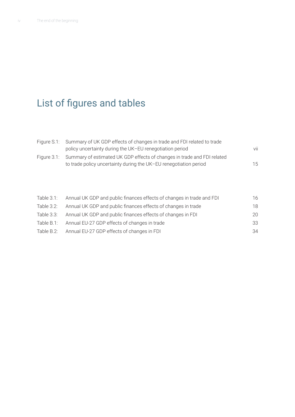## List of figures and tables

| Figure S.1: Summary of UK GDP effects of changes in trade and FDI related to trade  |     |
|-------------------------------------------------------------------------------------|-----|
| policy uncertainty during the UK-EU renegotiation period                            | vii |
| Figure 3.1: Summary of estimated UK GDP effects of changes in trade and FDI related |     |
| to trade policy uncertainty during the UK-EU renegotiation period                   | 15  |

| 16 |
|----|
| 18 |
| 20 |
| 33 |
| 34 |
|    |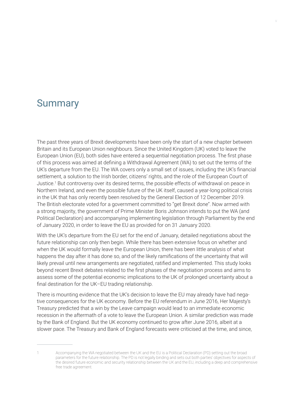### Summary

The past three years of Brexit developments have been only the start of a new chapter between Britain and its European Union neighbours. Since the United Kingdom (UK) voted to leave the European Union (EU), both sides have entered a sequential negotiation process. The first phase of this process was aimed at defining a Withdrawal Agreement (WA) to set out the terms of the UK's departure from the EU. The WA covers only a small set of issues, including the UK's financial settlement, a solution to the Irish border, citizens' rights, and the role of the European Court of Justice.1 But controversy over its desired terms, the possible effects of withdrawal on peace in Northern Ireland, and even the possible future of the UK itself, caused a year-long political crisis in the UK that has only recently been resolved by the General Election of 12 December 2019. The British electorate voted for a government committed to "get Brexit done". Now armed with a strong majority, the government of Prime Minister Boris Johnson intends to put the WA (and Political Declaration) and accompanying implementing legislation through Parliament by the end of January 2020, in order to leave the EU as provided for on 31 January 2020.

With the UK's departure from the EU set for the end of January, detailed negotiations about the future relationship can only then begin. While there has been extensive focus on whether and when the UK would formally leave the European Union, there has been little analysis of what happens the day after it has done so, and of the likely ramifications of the uncertainty that will likely prevail until new arrangements are negotiated, ratified and implemented. This study looks beyond recent Brexit debates related to the first phases of the negotiation process and aims to assess some of the potential economic implications to the UK of prolonged uncertainty about a final destination for the UK–EU trading relationship.

There is mounting evidence that the UK's decision to leave the EU may already have had negative consequences for the UK economy. Before the EU referendum in June 2016, Her Majesty's Treasury predicted that a win by the Leave campaign would lead to an immediate economic recession in the aftermath of a vote to leave the European Union. A similar prediction was made by the Bank of England. But the UK economy continued to grow after June 2016, albeit at a slower pace. The Treasury and Bank of England forecasts were criticised at the time, and since,

<sup>1</sup> Accompanying the WA negotiated between the UK and the EU is a Political Declaration (PD) setting out the broad parameters for the future relationship. The PD is not legally binding and sets out both parties' objectives for aspects of the desired future economic and security relationship between the UK and the EU, including a deep and comprehensive free trade agreement.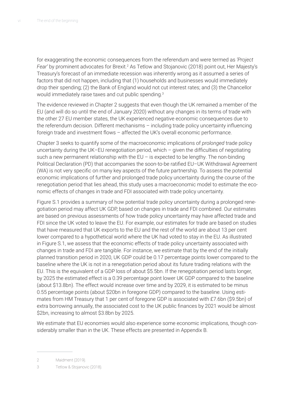for exaggerating the economic consequences from the referendum and were termed as *'Project*  Fear' by prominent advocates for Brexit.<sup>2</sup> As Tetlow and Stojanovic (2018) point out, Her Majesty's Treasury's forecast of an immediate recession was inherently wrong as it assumed a series of factors that did not happen, including that (1) households and businesses would immediately drop their spending; (2) the Bank of England would not cut interest rates; and (3) the Chancellor would immediately raise taxes and cut public spending.<sup>3</sup>

The evidence reviewed in Chapter 2 suggests that even though the UK remained a member of the EU (and will do so until the end of January 2020) without any changes in its terms of trade with the other 27 EU member states, the UK experienced negative economic consequences due to the referendum decision. Different mechanisms – including trade policy uncertainty influencing foreign trade and investment flows – affected the UK's overall economic performance.

Chapter 3 seeks to quantify some of the macroeconomic implications of *prolonged* trade policy uncertainty during the UK–EU renegotiation period, which – given the difficulties of negotiating such a new permanent relationship with the  $EU -$  is expected to be lengthy. The non-binding Political Declaration (PD) that accompanies the soon-to-be ratified EU–UK Withdrawal Agreement (WA) is not very specific on many key aspects of the future partnership. To assess the potential economic implications of further and prolonged trade policy uncertainty during the course of the renegotiation period that lies ahead, this study uses a macroeconomic model to estimate the economic effects of changes in trade and FDI associated with trade policy uncertainty.

Figure S.1 provides a summary of how potential trade policy uncertainty during a prolonged renegotiation period may affect UK GDP, based on changes in trade and FDI combined. Our estimates are based on previous assessments of how trade policy uncertainty may have affected trade and FDI since the UK voted to leave the EU. For example, our estimates for trade are based on studies that have measured that UK exports to the EU and the rest of the world are about 13 per cent lower compared to a hypothetical world where the UK had voted to stay in the EU. As illustrated in Figure S.1, we assess that the economic effects of trade policy uncertainty associated with changes in trade and FDI are tangible. For instance, we estimate that by the end of the initially planned transition period in 2020, UK GDP could be 0.17 percentage points lower compared to the baseline where the UK is not in a renegotiation period about its future trading relations with the EU. This is the equivalent of a GDP loss of about \$5.5bn. If the renegotiation period lasts longer, by 2025 the estimated effect is a 0.39 percentage point lower UK GDP compared to the baseline (about \$13.8bn). The effect would increase over time and by 2029, it is estimated to be minus 0.55 percentage points (about \$20bn in foregone GDP) compared to the baseline. Using estimates from HM Treasury that 1 per cent of foregone GDP is associated with £7.6bn (\$9.5bn) of extra borrowing annually, the associated cost to the UK public finances by 2021 would be almost \$2bn, increasing to almost \$3.8bn by 2025.

We estimate that EU economies would also experience some economic implications, though considerably smaller than in the UK. These effects are presented in Appendix B.

<sup>2</sup> Maidment (2019).

<sup>3</sup> Tetlow & Stojanovic (2018).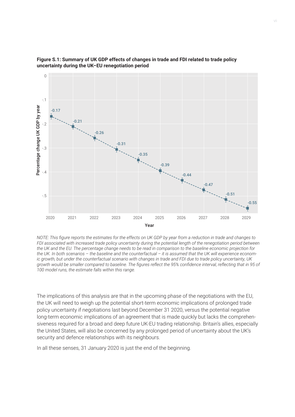



*NOTE: This figure reports the estimates for the effects on UK GDP by year from a reduction in trade and changes to FDI associated with increased trade policy uncertainty during the potential length of the renegotiation period between the UK and the EU. The percentage change needs to be read in comparison to the baseline economic projection for the UK. In both scenarios – the baseline and the counterfactual – it is assumed that the UK will experience economic growth, but under the counterfactual scenario with changes in trade and FDI due to trade policy uncertainty, UK growth would be smaller compared to baseline. The figures reflect the 95% confidence interval, reflecting that in 95 of* 

The implications of this analysis are that in the upcoming phase of the negotiations with the EU, the UK will need to weigh up the potential short-term economic implications of prolonged trade policy uncertainty if negotiations last beyond December 31 2020, versus the potential negative long-term economic implications of an agreement that is made quickly but lacks the comprehensiveness required for a broad and deep future UK-EU trading relationship. Britain's allies, especially the United States, will also be concerned by any prolonged period of uncertainty about the UK's security and defence relationships with its neighbours.

In all these senses, 31 January 2020 is just the end of the beginning.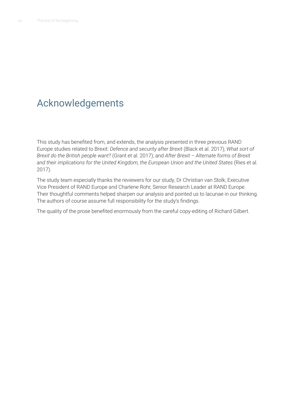## Acknowledgements

This study has benefited from, and extends, the analysis presented in three previous RAND Europe studies related to Brexit: *Defence and security after Brexit* (Black et al. 2017)*; What sort of Brexit do the British people want?* (Grant et al. 2017); and *After Brexit – Alternate forms of Brexit and their implications for the United Kingdom, the European Union and the United States* (Ries et al. 2017).

The study team especially thanks the reviewers for our study, Dr Christian van Stolk, Executive Vice President of RAND Europe and Charlene Rohr, Senior Research Leader at RAND Europe. Their thoughtful comments helped sharpen our analysis and pointed us to lacunae in our thinking. The authors of course assume full responsibility for the study's findings.

The quality of the prose benefited enormously from the careful copy-editing of Richard Gilbert.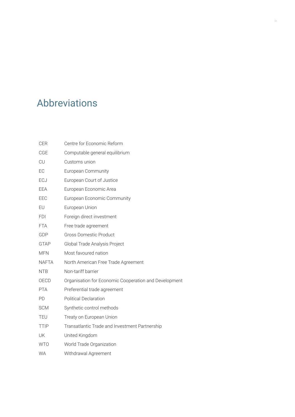## Abbreviations

| <b>CER</b>   | Centre for Economic Reform                            |
|--------------|-------------------------------------------------------|
| CGE          | Computable general equilibrium                        |
| CU           | Customs union                                         |
| EC           | <b>European Community</b>                             |
| ECJ          | European Court of Justice                             |
| EEA          | European Economic Area                                |
| EEC          | European Economic Community                           |
| EU           | European Union                                        |
| <b>FDI</b>   | Foreign direct investment                             |
| <b>FTA</b>   | Free trade agreement                                  |
| GDP          | <b>Gross Domestic Product</b>                         |
| <b>GTAP</b>  | Global Trade Analysis Project                         |
| <b>MFN</b>   | Most favoured nation                                  |
| <b>NAFTA</b> | North American Free Trade Agreement                   |
| <b>NTB</b>   | Non-tariff barrier                                    |
| OECD         | Organisation for Economic Cooperation and Development |
| <b>PTA</b>   | Preferential trade agreement                          |
| PD           | <b>Political Declaration</b>                          |
| <b>SCM</b>   | Synthetic control methods                             |
| TEU          | Treaty on European Union                              |
| <b>TTIP</b>  | Transatlantic Trade and Investment Partnership        |
| UK           | United Kingdom                                        |
| <b>WTO</b>   | World Trade Organization                              |
| <b>WA</b>    | Withdrawal Agreement                                  |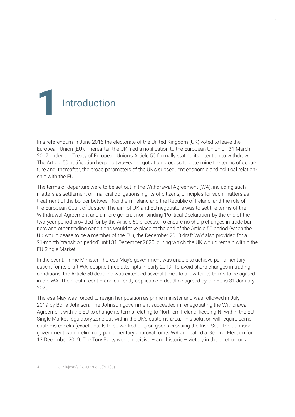## Introduction 1

In a referendum in June 2016 the electorate of the United Kingdom (UK) voted to leave the European Union (EU). Thereafter, the UK filed a notification to the European Union on 31 March 2017 under the Treaty of European Union's Article 50 formally stating its intention to withdraw. The Article 50 notification began a two-year negotiation process to determine the terms of departure and, thereafter, the broad parameters of the UK's subsequent economic and political relationship with the EU.

The terms of departure were to be set out in the Withdrawal Agreement (WA), including such matters as settlement of financial obligations, rights of citizens, principles for such matters as treatment of the border between Northern Ireland and the Republic of Ireland, and the role of the European Court of Justice. The aim of UK and EU negotiators was to set the terms of the Withdrawal Agreement and a more general, non-binding 'Political Declaration' by the end of the two-year period provided for by the Article 50 process. To ensure no sharp changes in trade barriers and other trading conditions would take place at the end of the Article 50 period (when the UK would cease to be a member of the EU), the December 2018 draft WA<sup>4</sup> also provided for a 21-month 'transition period' until 31 December 2020, during which the UK would remain within the EU Single Market.

In the event, Prime Minister Theresa May's government was unable to achieve parliamentary assent for its draft WA, despite three attempts in early 2019. To avoid sharp changes in trading conditions, the Article 50 deadline was extended several times to allow for its terms to be agreed in the WA. The most recent  $-$  and currently applicable  $-$  deadline agreed by the EU is 31 January 2020.

Theresa May was forced to resign her position as prime minister and was followed in July 2019 by Boris Johnson. The Johnson government succeeded in renegotiating the Withdrawal Agreement with the EU to change its terms relating to Northern Ireland, keeping NI within the EU Single Market regulatory zone but within the UK's customs area. This solution will require some customs checks (exact details to be worked out) on goods crossing the Irish Sea. The Johnson government won preliminary parliamentary approval for its WA and called a General Election for 12 December 2019. The Tory Party won a decisive – and historic – victory in the election on a

4 Her Majesty's Government (2018b).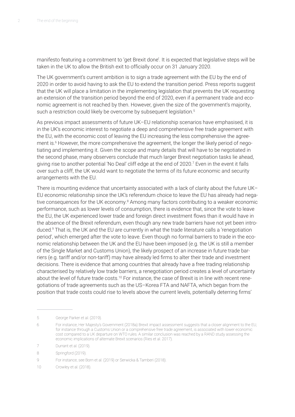manifesto featuring a commitment to 'get Brexit done'. It is expected that legislative steps will be taken in the UK to allow the British exit to officially occur on 31 January 2020.

The UK government's current ambition is to sign a trade agreement with the EU by the end of 2020 in order to avoid having to ask the EU to extend the transition period. Press reports suggest that the UK will place a limitation in the implementing legislation that prevents the UK requesting an extension of the transition period beyond the end of 2020, even if a permanent trade and economic agreement is not reached by then. However, given the size of the government's majority, such a restriction could likely be overcome by subsequent legislation.<sup>5</sup>

As previous impact assessments of future UK–EU relationship scenarios have emphasised, it is in the UK's economic interest to negotiate a deep and comprehensive free trade agreement with the EU, with the economic cost of leaving the EU increasing the less comprehensive the agreement is.6 However, the more comprehensive the agreement, the longer the likely period of negotiating and implementing it. Given the scope and many details that will have to be negotiated in the second phase, many observers conclude that much larger Brexit negotiation tasks lie ahead, giving rise to another potential 'No Deal' cliff edge at the end of 2020.<sup>7</sup> Even in the event it falls over such a cliff, the UK would want to negotiate the terms of its future economic and security arrangements with the EU.

There is mounting evidence that uncertainty associated with a lack of clarity about the future UK– EU economic relationship since the UK's referendum choice to leave the EU has already had negative consequences for the UK economy.<sup>8</sup> Among many factors contributing to a weaker economic performance, such as lower levels of consumption, there is evidence that, since the vote to leave the EU, the UK experienced lower trade and foreign direct investment flows than it would have in the absence of the Brexit referendum, even though any new trade barriers have not yet been introduced.<sup>9</sup> That is, the UK and the EU are currently in what the trade literature calls a 'renegotiation period', which emerged after the vote to leave. Even though no formal barriers to trade in the economic relationship between the UK and the EU have been imposed (e.g. the UK is still a member of the Single Market and Customs Union), the likely prospect of an increase in future trade barriers (e.g. tariff and/or non-tariff) may have already led firms to alter their trade and investment decisions. There is evidence that among countries that already have a free trading relationship characterised by relatively low trade barriers, a renegotiation period creates a level of uncertainty about the level of future trade costs.<sup>10</sup> For instance, the case of Brexit is in line with recent renegotiations of trade agreements such as the US–Korea FTA and NAFTA, which began from the position that trade costs could rise to levels above the current levels, potentially deterring firms'

<sup>5</sup> George Parker et al. (2019).

<sup>6</sup> For instance, Her Majesty's Government (2018a) Brexit impact assessment suggests that a closer alignment to the EU, for instance through a Customs Union or a comprehensive free trade agreement, is associated with lower economic cost compared to a UK departure on WTO rules. A similar conclusion was reached by a RAND study assessing the economic implications of alternate Brexit scenarios (Ries et al. 2017).

<sup>7</sup> Durrant et al. (2019).

<sup>8</sup> Springford (2019).

<sup>9</sup> For instance, see Born et al. (2019) or Serwicka & Tamberi (2018).

<sup>10</sup> Crowley et al. (2018).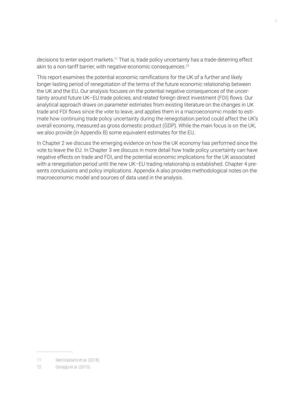decisions to enter export markets.<sup>11</sup> That is, trade policy uncertainty has a trade-deterring effect akin to a non-tariff barrier, with negative economic consequences.<sup>12</sup>

This report examines the potential economic ramifications for the UK of a further and likely longer-lasting period of renegotiation of the terms of the future economic relationship between the UK and the EU. Our analysis focuses on the potential negative consequences of the uncertainty around future UK–EU trade policies, and related foreign direct investment (FDI) flows. Our analytical approach draws on parameter estimates from existing literature on the changes in UK trade and FDI flows since the vote to leave, and applies them in a macroeconomic model to estimate how continuing trade policy uncertainty during the renegotiation period could affect the UK's overall economy, measured as gross domestic product (GDP). While the main focus is on the UK, we also provide (in Appendix B) some equivalent estimates for the EU.

In Chapter 2 we discuss the emerging evidence on how the UK economy has performed since the vote to leave the EU. In Chapter 3 we discuss in more detail how trade policy uncertainty can have negative effects on trade and FDI, and the potential economic implications for the UK associated with a renegotiation period until the new UK–EU trading relationship is established. Chapter 4 presents conclusions and policy implications. Appendix A also provides methodological notes on the macroeconomic model and sources of data used in the analysis.

<sup>11</sup> See Graziano et al. (2018).

<sup>12</sup> Osnago et al. (2015).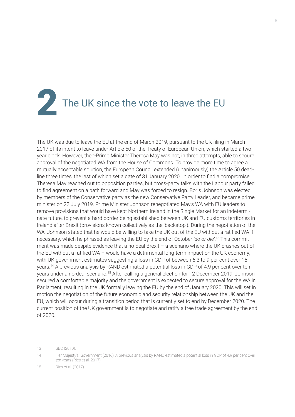## The UK since the vote to leave the EU

The UK was due to leave the EU at the end of March 2019, pursuant to the UK filing in March 2017 of its intent to leave under Article 50 of the Treaty of European Union, which started a twoyear clock. However, then-Prime Minister Theresa May was not, in three attempts, able to secure approval of the negotiated WA from the House of Commons. To provide more time to agree a mutually acceptable solution, the European Council extended (unanimously) the Article 50 deadline three times, the last of which set a date of 31 January 2020. In order to find a compromise, Theresa May reached out to opposition parties, but cross-party talks with the Labour party failed to find agreement on a path forward and May was forced to resign. Boris Johnson was elected by members of the Conservative party as the new Conservative Party Leader, and became prime minister on 22 July 2019. Prime Minister Johnson renegotiated May's WA with EU leaders to remove provisions that would have kept Northern Ireland in the Single Market for an indeterminate future, to prevent a hard border being established between UK and EU customs territories in Ireland after Brexit (provisions known collectively as the 'backstop'). During the negotiation of the WA, Johnson stated that he would be willing to take the UK out of the EU without a ratified WA if necessary, which he phrased as leaving the EU by the end of October *'do or die'*. 13 This commitment was made despite evidence that a no-deal Brexit – a scenario where the UK crashes out of the EU without a ratified WA – would have a detrimental long-term impact on the UK economy, with UK government estimates suggesting a loss in GDP of between 6.3 to 9 per cent over 15 years.14 A previous analysis by RAND estimated a potential loss in GDP of 4.9 per cent over ten years under a no-deal scenario.15 After calling a general election for 12 December 2019, Johnson secured a comfortable majority and the government is expected to secure approval for the WA in Parliament, resulting in the UK formally leaving the EU by the end of January 2020. This will set in motion the negotiation of the future economic and security relationship between the UK and the EU, which will occur during a transition period that is currently set to end by December 2020. The current position of the UK government is to negotiate and ratify a free trade agreement by the end of 2020.

<sup>13</sup> BBC (2019).

<sup>14</sup> Her Majesty's Government (2016). A previous analysis by RAND estimated a potential loss in GDP of 4.9 per cent over ten years (Ries et al. 2017).

<sup>15</sup> Ries et al. (2017).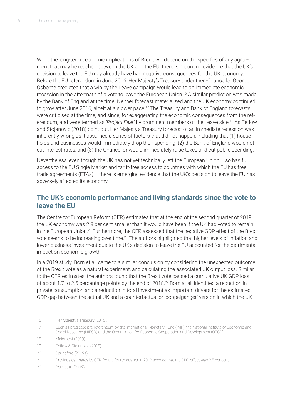While the long-term economic implications of Brexit will depend on the specifics of any agreement that may be reached between the UK and the EU, there is mounting evidence that the UK's decision to leave the EU may already have had negative consequences for the UK economy. Before the EU referendum in June 2016, Her Majesty's Treasury under then-Chancellor George Osborne predicted that a win by the Leave campaign would lead to an immediate economic recession in the aftermath of a vote to leave the European Union.<sup>16</sup> A similar prediction was made by the Bank of England at the time. Neither forecast materialised and the UK economy continued to grow after June 2016, albeit at a slower pace.<sup>17</sup> The Treasury and Bank of England forecasts were criticised at the time, and since, for exaggerating the economic consequences from the referendum, and were termed as *'Project Fear'* by prominent members of the Leave side.<sup>18</sup> As Tetlow and Stojanovic (2018) point out, Her Majesty's Treasury forecast of an immediate recession was inherently wrong as it assumed a series of factors that did not happen, including that (1) households and businesses would immediately drop their spending; (2) the Bank of England would not cut interest rates; and (3) the Chancellor would immediately raise taxes and cut public spending.19

Nevertheless, even though the UK has not yet technically left the European Union – so has full access to the EU Single Market and tariff-free access to countries with which the EU has free trade agreements (FTAs) – there is emerging evidence that the UK's decision to leave the EU has adversely affected its economy.

#### **The UK's economic performance and living standards since the vote to leave the EU**

The Centre for European Reform (CER) estimates that at the end of the second quarter of 2019, the UK economy was 2.9 per cent smaller than it would have been if the UK had voted to remain in the European Union.20 Furthermore, the CER assessed that the negative GDP effect of the Brexit vote seems to be increasing over time.<sup>21</sup> The authors highlighted that higher levels of inflation and lower business investment due to the UK's decision to leave the EU accounted for the detrimental impact on economic growth.

In a 2019 study, Born et al. came to a similar conclusion by considering the unexpected outcome of the Brexit vote as a natural experiment, and calculating the associated UK output loss. Similar to the CER estimates, the authors found that the Brexit vote caused a cumulative UK GDP loss of about 1.7 to 2.5 percentage points by the end of 2018.<sup>22</sup> Born at al. identified a reduction in private consumption and a reduction in total investment as important drivers for the estimated GDP gap between the actual UK and a counterfactual or 'doppelganger' version in which the UK

<sup>16</sup> Her Majesty's Treasury (2016).

<sup>17</sup> Such as predicted pre-referendum by the International Monetary Fund (IMF), the National Institute of Economic and Social Research (NIESR) and the Organization for Economic Cooperation and Development (OECD).

<sup>18</sup> Maidment (2019).

<sup>19</sup> Tetlow & Stojanovic (2018).

<sup>20</sup> Springford (2019a).

<sup>21</sup> Previous estimates by CER for the fourth quarter in 2018 showed that the GDP effect was 2.5 per cent.

<sup>22</sup> Born et al. (2019).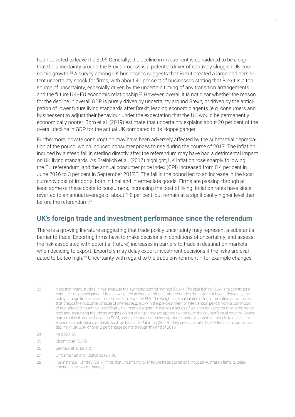had not voted to leave the EU.<sup>23</sup> Generally, the decline in investment is considered to be a sign that the uncertainty around the Brexit process is a potential driver of relatively sluggish UK economic growth.<sup>24</sup> A survey among UK businesses suggests that Brexit created a large and persistent uncertainty shock for firms, with about 40 per cent of businesses stating that Brexit is a top source of uncertainty, especially driven by the uncertain timing of any transition arrangements and the future UK–EU economic relationship.<sup>25</sup> However, overall it is not clear whether the reason for the decline in overall GDP is purely driven by uncertainty around Brexit, or driven by the anticipation of lower future living standards after Brexit, leading economic agents (e.g. consumers and businesses) to adjust their behaviour under the expectation that the UK would be permanently economically poorer. Born et al. (2019) estimate that uncertainty explains about 20 per cent of the overall decline in GDP for the actual UK compared to its 'doppelganger'.

Furthermore, private consumption may have been adversely affected by the substantial depreciation of the pound, which induced consumer prices to rise during the course of 2017. The inflation induced by a steep fall in sterling directly after the referendum may have had a detrimental impact on UK living standards. As Breinlich et al. (2017) highlight, UK inflation rose sharply following the EU referendum, and the annual consumer price index (CPI) increased from 0.4 per cent in June 2016 to 3 per cent in September 2017.<sup>26</sup> The fall in the pound led to an increase in the local currency cost of imports, both in final and intermediate goods. Firms are passing-through at least some of these costs to consumers, increasing the cost of living. Inflation rates have since reverted to an annual average of about 1.8 per cent, but remain at a significantly higher level than before the referendum.<sup>27</sup>

#### **UK's foreign trade and investment performance since the referendum**

There is a growing literature suggesting that trade policy uncertainty may represent a substantial barrier to trade. Exporting firms have to make decisions in conditions of uncertainty, and assess the risk associated with potential (future) increases in barriers to trade in destination markets when deciding to export. Exporters may delay export investment decisions if the risks are evaluated to be too high.<sup>28</sup> Uncertainty with regard to the trade environment  $-$  for example changes

27 Office for National Statistics (2019).

<sup>23</sup> Note that many studies in this area use the synthetic control method (SCM). The idea behind SCM is to construct a 'synthetic' or 'doppelganger' UK as a weighted average of other similar countries that have not been affected by the policy change (in this case the UK's vote to leave the EU). The weights are calculated using information on variables that predict the outcome variable of interest (e.g. GDP) in the pre-treatment or intervention period from a donor pool of non-affected countries. Specifically, the method algorithm derives a series of weights for each country in the donor pool and, assuming that these weights do not change, they are applied to compute the counterfactual country. Beside pure empirical studies based on SCM, some recent research has applied structural economic models to assess the economic implications of Brexit, such as Faccini & Palombo (2019). They predict similar GDP effects of a cumulative decline in UK GDP of over 2 percentage points through the end of 2018.

<sup>24</sup> Reid (2019).

<sup>25</sup> Bloom et al. (2019).

<sup>26</sup> Breinlich et al. (2017).

<sup>28</sup> For instance, Handley (2014) finds that uncertainty over future trade conditions induced Australian firms to delay entering new export markets.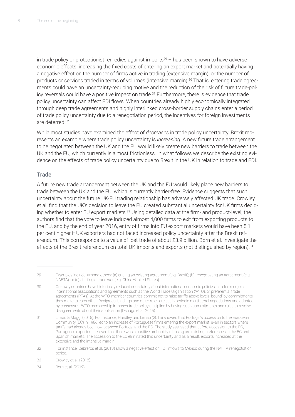in trade policy or protectionist remedies against imports<sup>29</sup> – has been shown to have adverse economic effects, increasing the fixed costs of entering an export market and potentially having a negative effect on the number of firms active in trading (extensive margin), or the number of products or services traded in terms of volumes (intensive margin).<sup>30</sup> That is, entering trade agreements could have an uncertainty-reducing motive and the reduction of the risk of future trade-policy reversals could have a positive impact on trade.<sup>31</sup> Furthermore, there is evidence that trade policy uncertainty can affect FDI flows. When countries already highly economically integrated through deep trade agreements and highly interlinked cross-border supply chains enter a period of trade policy uncertainty due to a renegotiation period, the incentives for foreign investments are deterred.32

While most studies have examined the effect of *decreases* in trade policy uncertainty, Brexit represents an example where trade policy uncertainty is *increasing*. A new future trade arrangement to be negotiated between the UK and the EU would likely create new barriers to trade between the UK and the EU, which currently is almost frictionless. In what follows we describe the existing evidence on the effects of trade policy uncertainty due to Brexit in the UK in relation to trade and FDI.

#### **Trade**

A future new trade arrangement between the UK and the EU would likely place new barriers to trade between the UK and the EU, which is currently barrier-free. Evidence suggests that such uncertainty about the future UK-EU trading relationship has adversely affected UK trade. Crowley et al. find that the UK's decision to leave the EU created substantial uncertainty for UK firms deciding whether to enter EU export markets.<sup>33</sup> Using detailed data at the firm- and product-level, the authors find that the vote to leave induced almost 4,000 firms to exit from exporting products to the EU, and by the end of year 2016, entry of firms into EU export markets would have been 5.1 per cent higher if UK exporters had not faced increased policy uncertainty after the Brexit referendum. This corresponds to a value of lost trade of about £3.9 billion. Born et al. investigate the effects of the Brexit referendum on total UK imports and exports (not distinguished by region).<sup>34</sup>

<sup>29</sup> Examples include, among others: (a) ending an existing agreement (e.g. Brexit); (b) renegotiating an agreement (e.g. NAFTA); or (c) starting a trade war (e.g. China–United States).

<sup>30</sup> One way countries have historically reduced uncertainty about international economic policies is to form or join international associations and agreements such as the World Trade Organisation (WTO), or preferential trade agreements (PTAs). At the WTO, member countries commit not to raise tariffs above levels 'bound' by commitments they make to each other. Reciprocal bindings and other rules are set in periodic multilateral negotiations and adopted by consensus. WTO membership imposes trade policy discipline by having such commitments and rules to resolve disagreements about their application (Osnago et al. 2015).

<sup>31</sup> Limao & Maggi (2015). For instance, Handley and Limao (2015) showed that Portugal's accession to the European Community (EC) in 1986 led to an increase of Portuguese firms entering the export market, even in sectors where tariffs had already been low between Portugal and the EC. The study assessed that before accession to the EC, Portuguese exporters believed that there was a positive probability of losing pre-existing preferences in the EC and Spanish markets. The accession to the EC eliminated this uncertainty and as a result, exports increased at the extensive and the intensive margin.

<sup>32</sup> For instance, Cebreros et al. (2019) show a negative effect on FDI inflows to Mexico during the NAFTA renegotiation period.

<sup>33</sup> Crowley et al. (2018).

<sup>34</sup> Born et al. (2019).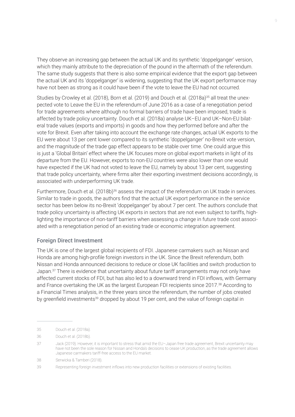They observe an increasing gap between the actual UK and its synthetic 'doppelganger' version, which they mainly attribute to the depreciation of the pound in the aftermath of the referendum. The same study suggests that there is also some empirical evidence that the export gap between the actual UK and its 'doppelganger' is widening, suggesting that the UK export performance may have not been as strong as it could have been if the vote to leave the EU had not occurred.

Studies by Crowley et al. (2018), Born et al. (2019) and Douch et al. (2018a)<sup>35</sup> all treat the unexpected vote to Leave the EU in the referendum of June 2016 as a case of a renegotiation period for trade agreements where although no formal barriers of trade have been imposed, trade is affected by trade policy uncertainty. Douch et al. (2018a) analyse UK–EU and UK–Non-EU bilateral trade values (exports and imports) in goods and how they performed before and after the vote for Brexit. Even after taking into account the exchange rate changes, actual UK exports to the EU were about 13 per cent lower compared to its synthetic 'doppelganger' no-Brexit vote version, and the magnitude of the trade gap effect appears to be stable over time. One could argue this is just a 'Global Britain' effect where the UK focuses more on global export markets in light of its departure from the EU. However, exports to non-EU countries were also lower than one would have expected if the UK had not voted to leave the EU, namely by about 13 per cent, suggesting that trade policy uncertainty, where firms alter their exporting investment decisions accordingly, is associated with underperforming UK trade.

Furthermore, Douch et al. (2018b)<sup>36</sup> assess the impact of the referendum on UK trade in services. Similar to trade in goods, the authors find that the actual UK export performance in the service sector has been below its no-Brexit 'doppelganger' by about 7 per cent. The authors conclude that trade policy uncertainty is affecting UK exports in sectors that are not even subject to tariffs, highlighting the importance of non-tariff barriers when assessing a change in future trade cost associated with a renegotiation period of an existing trade or economic integration agreement.

#### Foreign Direct Investment

The UK is one of the largest global recipients of FDI. Japanese carmakers such as Nissan and Honda are among high-profile foreign investors in the UK. Since the Brexit referendum, both Nissan and Honda announced decisions to reduce or close UK facilities and switch production to Japan.<sup>37</sup> There is evidence that uncertainty about future tariff arrangements may not only have affected current stocks of FDI, but has also led to a downward trend in FDI inflows, with Germany and France overtaking the UK as the largest European FDI recipients since 2017.<sup>38</sup> According to a Financial Times analysis, in the three years since the referendum, the number of jobs created by greenfield investments<sup>39</sup> dropped by about 19 per cent, and the value of foreign capital in

<sup>35</sup> Douch et al. (2018a).

<sup>36</sup> Douch et al. (2018b).

<sup>37</sup> Jack (2019). However, it is important to stress that amid the EU–Japan free trade agreement, Brexit uncertainty may have not been the sole reason for Nissan and Honda's decisions to cease UK production, as the trade agreement allows Japanese carmakers tariff-free access to the EU market.

<sup>38</sup> Serwicka & Tamberi (2018).

<sup>39</sup> Representing foreign investment inflows into new production facilities or extensions of existing facilities.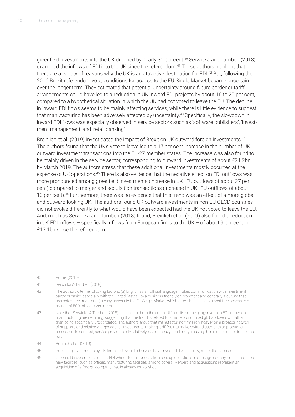greenfield investments into the UK dropped by nearly 30 per cent.<sup>40</sup> Serwicka and Tamberi (2018) examined the inflows of FDI into the UK since the referendum.<sup>41</sup> These authors highlight that there are a variety of reasons why the UK is an attractive destination for FDI.<sup>42</sup> But, following the 2016 Brexit referendum vote, conditions for access to the EU Single Market became uncertain over the longer term. They estimated that potential uncertainty around future border or tariff arrangements could have led to a reduction in UK inward FDI projects by about 16 to 20 per cent, compared to a hypothetical situation in which the UK had not voted to leave the EU. The decline in inward FDI flows seems to be mainly affecting services, while there is little evidence to suggest that manufacturing has been adversely affected by uncertainty.<sup>43</sup> Specifically, the slowdown in inward FDI flows was especially observed in service sectors such as 'software publishers', 'investment management' and 'retail banking'.

Breinlich et al. (2019) investigated the impact of Brexit on UK outward foreign investments.<sup>44</sup> The authors found that the UK's vote to leave led to a 17 per cent increase in the number of UK outward investment transactions into the EU-27 member states. The increase was also found to be mainly driven in the service sector, corresponding to outward investments of about £21.2bn by March 2019. The authors stress that these additional investments mostly occurred at the expense of UK operations.45 There is also evidence that the negative effect on FDI outflows was more pronounced among greenfield investments (increase in UK–EU outflows of about 27 per cent) compared to merger and acquisition transactions (increase in UK–EU outflows of about 13 per cent).<sup>46</sup> Furthermore, there was no evidence that this trend was an effect of a more global and outward-looking UK. The authors found UK outward investments in non-EU OECD countries did not evolve differently to what would have been expected had the UK not voted to leave the EU. And, much as Serwicka and Tamberi (2018) found, Breinlich et al. (2019) also found a reduction in UK FDI inflows – specifically inflows from European firms to the UK – of about 9 per cent or £13.1bn since the referendum.

<sup>40</sup> Romei (2019).

<sup>41</sup> Serwicka & Tamberi (2018).

<sup>42</sup> The authors cite the following factors: (a) English as an official language makes communication with investment partners easier, especially with the United States; (b) a business friendly environment and generally a culture that promotes free trade; and (c) easy access to the EU Single Market, which offers businesses almost free access to a market of 500 million consumers.

<sup>43</sup> Note that Serwicka & Tamberi (2018) find that for both the actual UK and its doppelganger version FDI inflows into manufacturing are declining, suggesting that the trend is related to a more pronounced global slowdown rather than being specifically Brexit related. The authors argue that manufacturing firms rely heavily on a broader network of suppliers and relatively larger capital investments, making it difficult to make swift adjustments to production processes. In contrast, service providers rely relatively less on heavy machinery, making them more mobile in the short run.

<sup>44</sup> Breinlich et al. (2019).

<sup>45</sup> Reflecting investments by UK firms that would otherwise have invested domestically, rather than abroad.

<sup>46</sup> Greenfield investments refer to FDI where, for instance, a firm sets up operations in a foreign country and establishes new facilities, such as offices, manufacturing facilities, among others. Mergers and acquisitions represent an acquisition of a foreign company that is already established.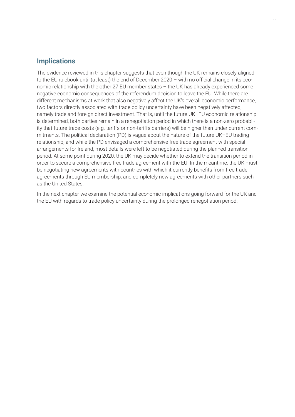#### **Implications**

The evidence reviewed in this chapter suggests that even though the UK remains closely aligned to the EU rulebook until (at least) the end of December 2020 – with no official change in its economic relationship with the other 27 EU member states – the UK has already experienced some negative economic consequences of the referendum decision to leave the EU. While there are different mechanisms at work that also negatively affect the UK's overall economic performance, two factors directly associated with trade policy uncertainty have been negatively affected, namely trade and foreign direct investment. That is, until the future UK–EU economic relationship is determined, both parties remain in a renegotiation period in which there is a non-zero probability that future trade costs (e.g. tariffs or non-tariffs barriers) will be higher than under current commitments. The political declaration (PD) is vague about the nature of the future UK–EU trading relationship, and while the PD envisaged a comprehensive free trade agreement with special arrangements for Ireland, most details were left to be negotiated during the planned transition period. At some point during 2020, the UK may decide whether to extend the transition period in order to secure a comprehensive free trade agreement with the EU. In the meantime, the UK must be negotiating new agreements with countries with which it currently benefits from free trade agreements through EU membership, and completely new agreements with other partners such as the United States.

In the next chapter we examine the potential economic implications going forward for the UK and the EU with regards to trade policy uncertainty during the prolonged renegotiation period.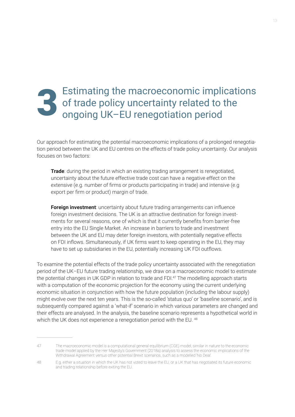## Estimating the macroeconomic implications of trade policy uncertainty related to the<br>3 ongoing UK–EU renegotiation period

Our approach for estimating the potential macroeconomic implications of a prolonged renegotiation period between the UK and EU centres on the effects of trade policy uncertainty. Our analysis focuses on two factors:

**Trade**: during the period in which an existing trading arrangement is renegotiated, uncertainty about the future effective trade cost can have a negative effect on the extensive (e.g. number of firms or products participating in trade) and intensive (e.g export per firm or product) margin of trade.

**Foreign investment**: uncertainty about future trading arrangements can influence foreign investment decisions. The UK is an attractive destination for foreign investments for several reasons, one of which is that it currently benefits from barrier-free entry into the EU Single Market. An increase in barriers to trade and investment between the UK and EU may deter foreign investors, with potentially negative effects on FDI inflows. Simultaneously, if UK firms want to keep operating in the EU, they may have to set up subsidiaries in the EU, potentially increasing UK FDI outflows.

To examine the potential effects of the trade policy uncertainty associated with the renegotiation period of the UK–EU future trading relationship, we draw on a macroeconomic model to estimate the potential changes in UK GDP in relation to trade and FDI.<sup>47</sup> The modelling approach starts with a computation of the economic projection for the economy using the current underlying economic situation in conjunction with how the future population (including the labour supply) might evolve over the next ten years. This is the so-called 'status quo' or 'baseline scenario', and is subsequently compared against a 'what-if' scenario in which various parameters are changed and their effects are analysed. In the analysis, the baseline scenario represents a hypothetical world in which the UK does not experience a renegotiation period with the EU.<sup>48</sup>

<sup>47</sup> The macroeconomic model is a computational general equilibrium (CGE) model, similar in nature to the economic trade model applied by the Her Majesty's Government (2018a) analysis to assess the economic implications of the Withdrawal Agreement versus other potential Brexit scenarios, such as a modelled 'No Deal'.

<sup>48</sup> E.g. either a situation in which the UK has not voted to leave the EU, or a UK that has negotiated its future economic and trading relationship before exiting the EU.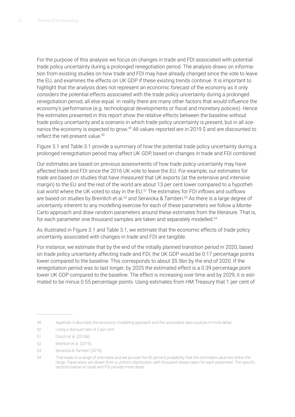For the purpose of this analysis we focus on changes in trade and FDI associated with potential trade policy uncertainty during a prolonged renegotiation period. The analysis draws on information from existing studies on how trade and FDI may have already changed since the vote to leave the EU, and examines the effects on UK GDP if these existing trends continue. It is important to highlight that the analysis does not represent an economic forecast of the economy as it only considers the potential effects associated with the trade policy uncertainty during a prolonged renegotiation period, all else equal. In reality there are many other factors that would influence the economy's performance (e.g. technological developments or fiscal and monetary policies). Hence the estimates presented in this report show the relative effects between the baseline without trade policy uncertainty and a scenario in which trade policy uncertainty is present, but in all scenarios the economy is expected to grow.<sup>49</sup> All values reported are in 2019 \$ and are discounted to reflect the net-present value.<sup>50</sup>

Figure 3.1 and Table 3.1 provide a summary of how the potential trade policy uncertainty during a prolonged renegotiation period may affect UK GDP, based on changes in trade and FDI combined.

Our estimates are based on previous assessments of how trade policy uncertainty may have affected trade and FDI since the 2016 UK vote to leave the EU. For example, our estimates for trade are based on studies that have measured that UK exports (at the extensive and intensive margin) to the EU and the rest of the world are about 13 per cent lower compared to a hypothetical world where the UK voted to stay in the EU.<sup>51</sup> The estimates for FDI inflows and outflows are based on studies by Breinlich et al.<sup>52</sup> and Serwicka & Tamberi.<sup>53</sup> As there is a large degree of uncertainty inherent to any modelling exercise for each of these parameters we follow a Monte-Carlo approach and draw random parameters around these estimates from the literature. That is, for each parameter one thousand samples are taken and separately modelled.<sup>54</sup>

As illustrated in Figure 3.1 and Table 3.1, we estimate that the economic effects of trade policy uncertainty associated with changes in trade and FDI are tangible.

For instance, we estimate that by the end of the initially planned transition period in 2020, based on trade policy uncertainty affecting trade and FDI, the UK GDP would be 0.17 percentage points lower compared to the baseline. This corresponds to about \$5.5bn by the end of 2020. If the renegotiation period was to last longer, by 2025 the estimated effect is a 0.39 percentage point lower UK GDP compared to the baseline. The effect is increasing over time and by 2029, it is estimated to be minus 0.55 percentage points. Using estimates from HM Treasury that 1 per cent of

<sup>49</sup> Appendix A describes the economic modelling approach and the associated data sources in more detail.

<sup>50</sup> Using a discount rate of 5 per cent.

<sup>51</sup> Douch et al. (2018a).

<sup>52</sup> Breinlich et al. (2019).

<sup>53</sup> Serwicka & Tamberi (2018).

<sup>54</sup> That leads to a range of estimates and we provide the 95 percent probability that the estimated value lies within the range. Parameters are drawn from a uniform distribution, with thousand draws taken for each parameter. The specific sections below on trade and FDI provide more detail.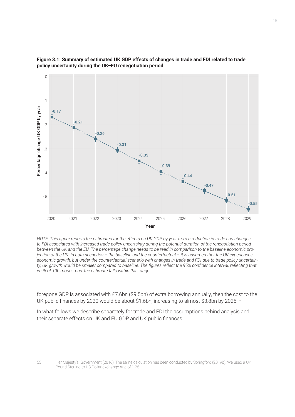



*NOTE: This figure reports the estimates for the effects on UK GDP by year from a reduction in trade and changes to FDI associated with increased trade policy uncertainty during the potential duration of the renegotiation period between the UK and the EU. The percentage change needs to be read in comparison to the baseline economic projection of the UK. In both scenarios – the baseline and the counterfactual – it is assumed that the UK experiences economic growth, but under the counterfactual scenario with changes in trade and FDI due to trade policy uncertainty, UK growth would be smaller compared to baseline. The figures reflect the 95% confidence interval, reflecting that* 

foregone GDP is associated with £7.6bn (\$9.5bn) of extra borrowing annually, then the cost to the UK public finances by 2020 would be about \$1.6bn, increasing to almost \$3.8bn by 2025.<sup>55</sup>

In what follows we describe separately for trade and FDI the assumptions behind analysis and their separate effects on UK and EU GDP and UK public finances.

<sup>55</sup> Her Majesty's Government (2016). The same calculation has been conducted by Springford (2019b). We used a UK Pound Sterling to US Dollar exchange rate of 1.25.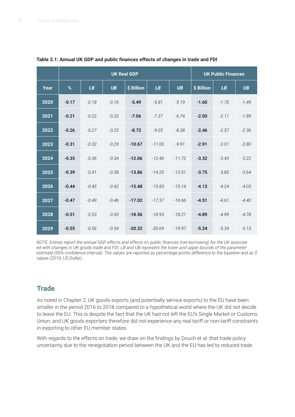|      | <b>UK Real GDP</b> |         |           |            |          |           |            | <b>UK Public Finances</b> |           |
|------|--------------------|---------|-----------|------------|----------|-----------|------------|---------------------------|-----------|
| Year | %                  | LB      | <b>UB</b> | \$ Billion | LB       | <b>UB</b> | \$ Billion | LB                        | <b>UB</b> |
| 2020 | $-0.17$            | $-0.18$ | $-0.16$   | $-5.49$    | $-5.81$  | $-5.19$   | $-1.60$    | $-1.70$                   | $-1.49$   |
| 2021 | $-0.21$            | $-0.22$ | $-0.20$   | $-7.06$    | $-7.37$  | $-6.74$   | $-2.00$    | $-2.11$                   | $-1.89$   |
| 2022 | $-0.26$            | $-0.27$ | $-0.25$   | $-8.72$    | $-9.05$  | $-8.38$   | $-2.46$    | $-2.57$                   | $-2.36$   |
| 2023 | $-0.31$            | $-0.32$ | $-0.29$   | $-10.67$   | $-11.00$ | $-9.91$   | $-2.91$    | $-3.01$                   | $-2.80$   |
| 2024 | $-0.35$            | $-0.36$ | $-0.34$   | $-12.06$   | $-12.40$ | $-11.72$  | $-3.32$    | $-3.43$                   | $-3.22$   |
| 2025 | $-0.39$            | $-0.41$ | $-0.38$   | $-13.86$   | $-14.20$ | $-13.51$  | $-3.75$    | $-3.85$                   | $-3.64$   |
| 2026 | $-0.44$            | $-0.45$ | $-0.42$   | $-15.48$   | $-15.83$ | $-15.14$  | $-4.13$    | $-4.24$                   | $-4.03$   |
| 2027 | $-0.47$            | $-0.49$ | $-0.46$   | $-17.02$   | $-17.37$ | $-16.66$  | $-4.51$    | $-4.61$                   | $-4.40$   |
| 2028 | $-0.51$            | $-0.53$ | $-0.50$   | $-18.56$   | $-18.93$ | $-18.21$  | $-4.89$    | $-4.99$                   | $-4.78$   |
| 2029 | $-0.55$            | $-0.56$ | $-0.54$   | $-20.32$   | $-20.69$ | $-19.97$  | $-5.24$    | $-5.34$                   | $-5.13$   |

**Table 3.1: Annual UK GDP and public finances effects of changes in trade and FDI**

*NOTE: Entries report the annual GDP effects and effects on public finances (net-borrowing) for the UK associated with changes in UK goods trade and FDI. LB and UB represent the lower and upper bounds of the parameter estimate (95% confidence interval). The values are reported as percentage points difference to the baseline and as \$ values (2019, US Dollar).*

#### **Trade**

As noted in Chapter 2, UK goods exports (and potentially service exports) to the EU have been smaller in the period 2016 to 2018 compared to a hypothetical world where the UK did not decide to leave the EU. This is despite the fact that the UK had not left the EU's Single Market or Customs Union, and UK goods exporters therefore did not experience any real tariff or non-tariff constraints in exporting to other EU member states.

With regards to the effects on trade, we draw on the findings by Douch et al. that trade policy uncertainty due to the renegotiation period between the UK and the EU has led to reduced trade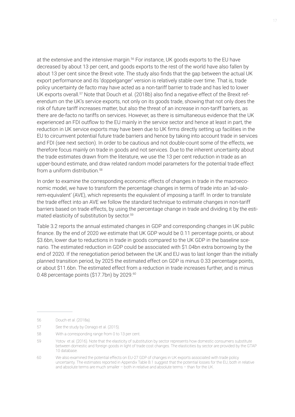at the extensive and the intensive margin.56 For instance, UK goods exports to the EU have decreased by about 13 per cent, and goods exports to the rest of the world have also fallen by about 13 per cent since the Brexit vote. The study also finds that the gap between the actual UK export performance and its 'doppelganger' version is relatively stable over time. That is, trade policy uncertainty de facto may have acted as a non-tariff barrier to trade and has led to lower UK exports overall.<sup>57</sup> Note that Douch et al. (2018b) also find a negative effect of the Brexit referendum on the UK's service exports, not only on its goods trade, showing that not only does the risk of future tariff increases matter, but also the threat of an increase in non-tariff barriers, as there are de-facto no tariffs on services. However, as there is simultaneous evidence that the UK experienced an FDI outflow to the EU mainly in the service sector and hence at least in part, the reduction in UK service exports may have been due to UK firms directly setting up facilities in the EU to circumvent potential future trade barriers and hence by taking into account trade in services and FDI (see next section). In order to be cautious and not double-count some of the effects, we therefore focus mainly on trade in goods and not services. Due to the inherent uncertainty about the trade estimates drawn from the literature, we use the 13 per cent reduction in trade as an upper-bound estimate, and draw related random model parameters for the potential trade effect from a uniform distribution.<sup>58</sup>

In order to examine the corresponding economic effects of changes in trade in the macroeconomic model, we have to transform the percentage changes in terms of trade into an 'ad-valorem-equivalent' (AVE), which represents the equivalent of imposing a tariff. In order to translate the trade effect into an AVE we follow the standard technique to estimate changes in non-tariff barriers based on trade effects, by using the percentage change in trade and dividing it by the estimated elasticity of substitution by sector.59

Table 3.2 reports the annual estimated changes in GDP and corresponding changes in UK public finance. By the end of 2020 we estimate that UK GDP would be 0.11 percentage points, or about \$3.6bn, lower due to reductions in trade in goods compared to the UK GDP in the baseline scenario. The estimated reduction in GDP could be associated with \$1.04bn extra borrowing by the end of 2020. If the renegotiation period between the UK and EU was to last longer than the initially planned transition period, by 2025 the estimated effect on GDP is minus 0.33 percentage points, or about \$11.6bn. The estimated effect from a reduction in trade increases further, and is minus 0.48 percentage points (\$17.7bn) by 2029.<sup>60</sup>

<sup>56</sup> Douch et al. (2018a).

<sup>57</sup> See the study by Osnago et al. (2015).

<sup>58</sup> With a corresponding range from 0 to 13 per cent.

<sup>59</sup> Yotov et al. (2016). Note that the elasticity of substitution by sector represents how domestic consumers substitute between domestic and foreign goods in light of trade cost changes. The elasticities by sector are provided by the GTAP 10 database.

<sup>60</sup> We also examined the potential effects on EU-27 GDP of changes in UK exports associated with trade policy uncertainty. The estimates reported in Appendix Table B.1 suggest that the potential losses for the EU, both in relative and absolute terms are much smaller – both in relative and absolute terms – than for the UK.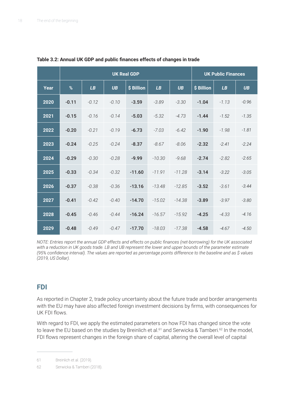|      | <b>UK Real GDP</b> |         |           |            |          |           |            | <b>UK Public Finances</b> |           |
|------|--------------------|---------|-----------|------------|----------|-----------|------------|---------------------------|-----------|
| Year | $\%$               | LB      | <b>UB</b> | \$ Billion | LB       | <b>UB</b> | \$ Billion | LB                        | <b>UB</b> |
| 2020 | $-0.11$            | $-0.12$ | $-0.10$   | $-3.59$    | $-3.89$  | $-3.30$   | $-1.04$    | $-1.13$                   | $-0.96$   |
| 2021 | $-0.15$            | $-0.16$ | $-0.14$   | $-5.03$    | $-5.32$  | $-4.73$   | $-1.44$    | $-1.52$                   | $-1.35$   |
| 2022 | $-0.20$            | $-0.21$ | $-0.19$   | $-6.73$    | $-7.03$  | $-6.42$   | $-1.90$    | $-1.98$                   | $-1.81$   |
| 2023 | $-0.24$            | $-0.25$ | $-0.24$   | $-8.37$    | $-8.67$  | $-8.06$   | $-2.32$    | $-2.41$                   | $-2.24$   |
| 2024 | $-0.29$            | $-0.30$ | $-0.28$   | $-9.99$    | $-10.30$ | $-9.68$   | $-2.74$    | $-2.82$                   | $-2.65$   |
| 2025 | $-0.33$            | $-0.34$ | $-0.32$   | $-11.60$   | $-11.91$ | $-11.28$  | $-3.14$    | $-3.22$                   | $-3.05$   |
| 2026 | $-0.37$            | $-0.38$ | $-0.36$   | $-13.16$   | $-13.48$ | $-12.85$  | $-3.52$    | $-3.61$                   | $-3.44$   |
| 2027 | $-0.41$            | $-0.42$ | $-0.40$   | $-14.70$   | $-15.02$ | $-14.38$  | $-3.89$    | $-3.97$                   | $-3.80$   |
| 2028 | $-0.45$            | $-0.46$ | $-0.44$   | $-16.24$   | $-16.57$ | $-15.92$  | $-4.25$    | $-4.33$                   | $-4.16$   |
| 2029 | $-0.48$            | $-0.49$ | $-0.47$   | $-17.70$   | $-18.03$ | $-17.38$  | $-4.58$    | $-4.67$                   | $-4.50$   |

**Table 3.2: Annual UK GDP and public finances effects of changes in trade** 

*NOTE: Entries report the annual GDP effects and effects on public finances (net-borrowing) for the UK associated*  with a reduction in UK goods trade. LB and UB represent the lower and upper bounds of the parameter estimate *(95% confidence interval). The values are reported as percentage points difference to the baseline and as \$ values (2019, US Dollar).*

#### **FDI**

As reported in Chapter 2, trade policy uncertainty about the future trade and border arrangements with the EU may have also affected foreign investment decisions by firms, with consequences for UK FDI flows.

With regard to FDI, we apply the estimated parameters on how FDI has changed since the vote to leave the EU based on the studies by Breinlich et al.<sup>61</sup> and Serwicka & Tamberi.<sup>62</sup> In the model, FDI flows represent changes in the foreign share of capital, altering the overall level of capital

<sup>61</sup> Breinlich et al. (2019).

<sup>62</sup> Serwicka & Tamberi (2018).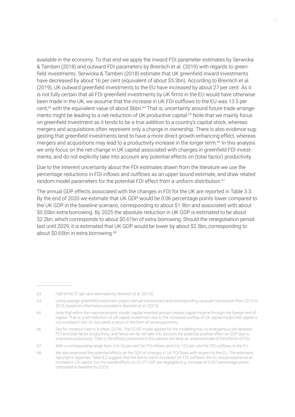available in the economy. To that end we apply the inward FDI parameter estimates by Serwicka & Tamberi (2018) and outward FDI parameters by Breinlich et al. (2019) with regards to greenfield investments. Serwicka & Tamberi (2018) estimate that UK greenfield inward investments have decreased by about 16 per cent (equivalent of about \$5.3bn). According to Breinlich et al. (2019), UK outward greenfield investments to the EU have increased by about 27 per cent. As it is not fully certain that all FDI greenfield investments by UK firms in the EU would have otherwise been made in the UK, we assume that the increase in UK FDI outflows to the EU was 13.5 per cent,<sup>63</sup> with the equivalent value of about \$6bn.<sup>64</sup> That is, uncertainty around future trade arrangements might be leading to a net-reduction of UK productive capital.<sup>65</sup> Note that we mainly focus on greenfield investment as it tends to be a true addition to a country's capital stock, whereas mergers and acquisitions often represent only a change in ownership. There is also evidence suggesting that greenfield investments tend to have a more direct growth-enhancing effect, whereas mergers and acquisitions may lead to a productivity increase in the longer term.<sup>66</sup> In this analysis we only focus on the net-change in UK capital associated with changes in greenfield FDI investments, and do not explicitly take into account any potential effects on (total factor) productivity.

Due to the inherent uncertainty about the FDI estimates drawn from the literature we use the percentage reductions in FDI inflows and outflows as an upper bound estimate, and draw related random model parameters for the potential FDI effect from a uniform distribution.<sup>67</sup>

The annual GDP effects associated with the changes in FDI for the UK are reported in Table 3.3. By the end of 2020 we estimate that UK GDP would be 0.06 percentage points lower compared to the UK GDP in the baseline scenario, corresponding to about \$1.9bn and associated with about \$0.55bn extra borrowing. By 2025 the absolute reduction in UK GDP is estimated to be about \$2.2bn, which corresponds to about \$0.61bn of extra borrowing. Should the renegotiation period last until 2029, it is estimated that UK GDP would be lower by about \$2.5bn, corresponding to about \$0.65bn in extra borrowing.<sup>68</sup>

<sup>63</sup> Half of the 27 per cent estimated by Breinlich et al. (2019).

<sup>64</sup> Using average greenfield investment project annual transactions and corresponding value per transaction from 2010 to 2019, based on information provided in Breinlich et al. (2019).

<sup>65</sup> Note that within the macroeconomic model, capital invested abroad creates capital income through the foreign rent of capital. That is, a net-reduction of UK capital investment due to the increased outflow of UK capital means the capital is not invested in the UK, but yields a return in the form of rental payments.

<sup>66</sup> See for instance Harms & Meon (2018). The DCGE model applied for the modelling has no endogenous link between FDI and total factor productivity, and hence we do not take into account the potential positive effect on GDP due to improved productivity. That is, the effects presented in this section are likely an underestimate of the effects of FDI.

<sup>67</sup> With a corresponding range from 0 to 16 per cent for FDI inflows and 0 to 13.5 per cent for FDI outflows to the EU.

<sup>68</sup> We also examined the potential effects on the GDP of changes in UK FDI flows with respect to the EU. The estimates reported in Appendix Table B.2 suggest that the due to some increased UK FDI outflows, the EU would experience an increase in UK capital, but the overall effects on EU-27 GDP are negligible (e.g. increase of 0.007 percentage points compared to baseline by 2025).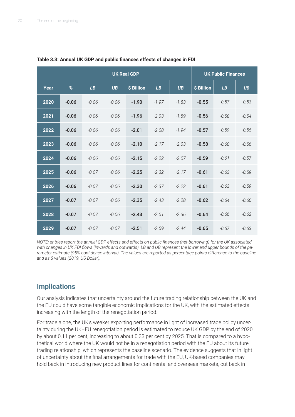|      | <b>UK Real GDP</b> |         |           |            |         |           |            | <b>UK Public Finances</b> |           |
|------|--------------------|---------|-----------|------------|---------|-----------|------------|---------------------------|-----------|
| Year | $\%$               | LB      | <b>UB</b> | \$ Billion | LB      | <b>UB</b> | \$ Billion | LB                        | <b>UB</b> |
| 2020 | $-0.06$            | $-0.06$ | $-0.06$   | $-1.90$    | $-1.97$ | $-1.83$   | $-0.55$    | $-0.57$                   | $-0.53$   |
| 2021 | $-0.06$            | $-0.06$ | $-0.06$   | $-1.96$    | $-2.03$ | $-1.89$   | $-0.56$    | $-0.58$                   | $-0.54$   |
| 2022 | $-0.06$            | $-0.06$ | $-0.06$   | $-2.01$    | $-2.08$ | $-1.94$   | $-0.57$    | $-0.59$                   | $-0.55$   |
| 2023 | $-0.06$            | $-0.06$ | $-0.06$   | $-2.10$    | $-2.17$ | $-2.03$   | $-0.58$    | $-0.60$                   | $-0.56$   |
| 2024 | $-0.06$            | $-0.06$ | $-0.06$   | $-2.15$    | $-2.22$ | $-2.07$   | $-0.59$    | $-0.61$                   | $-0.57$   |
| 2025 | $-0.06$            | $-0.07$ | $-0.06$   | $-2.25$    | $-2.32$ | $-2.17$   | $-0.61$    | $-0.63$                   | $-0.59$   |
| 2026 | $-0.06$            | $-0.07$ | $-0.06$   | $-2.30$    | $-2.37$ | $-2.22$   | $-0.61$    | $-0.63$                   | $-0.59$   |
| 2027 | $-0.07$            | $-0.07$ | $-0.06$   | $-2.35$    | $-2.43$ | $-2.28$   | $-0.62$    | $-0.64$                   | $-0.60$   |
| 2028 | $-0.07$            | $-0.07$ | $-0.06$   | $-2.43$    | $-2.51$ | $-2.36$   | $-0.64$    | $-0.66$                   | $-0.62$   |
| 2029 | $-0.07$            | $-0.07$ | $-0.07$   | $-2.51$    | $-2.59$ | $-2.44$   | $-0.65$    | $-0.67$                   | $-0.63$   |

**Table 3.3: Annual UK GDP and public finances effects of changes in FDI** 

*NOTE: entries report the annual GDP effects and effects on public finances (net-borrowing) for the UK associated with changes in UK FDI flows (inwards and outwards). LB and UB represent the lower and upper bounds of the parameter estimate (95% confidence interval). The values are reported as percentage points difference to the baseline and as \$ values (2019, US Dollar).*

#### **Implications**

Our analysis indicates that uncertainty around the future trading relationship between the UK and the EU could have some tangible economic implications for the UK, with the estimated effects increasing with the length of the renegotiation period.

For trade alone, the UK's weaker exporting performance in light of increased trade policy uncertainty during the UK–EU renegotiation period is estimated to reduce UK GDP by the end of 2020 by about 0.11 per cent, increasing to about 0.33 per cent by 2025. That is compared to a hypothetical world where the UK would not be in a renegotiation period with the EU about its future trading relationship, which represents the baseline scenario. The evidence suggests that in light of uncertainty about the final arrangements for trade with the EU, UK-based companies may hold back in introducing new product lines for continental and overseas markets, cut back in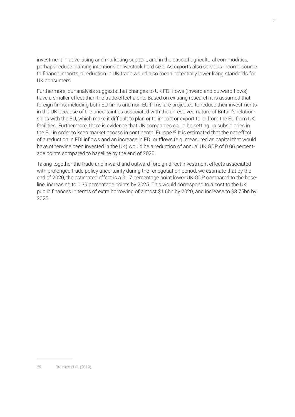investment in advertising and marketing support, and in the case of agricultural commodities, perhaps reduce planting intentions or livestock herd size. As exports also serve as income source to finance imports, a reduction in UK trade would also mean potentially lower living standards for UK consumers.

Furthermore, our analysis suggests that changes to UK FDI flows (inward and outward flows) have a smaller effect than the trade effect alone. Based on existing research it is assumed that foreign firms, including both EU firms and non-EU firms, are projected to reduce their investments in the UK because of the uncertainties associated with the unresolved nature of Britain's relationships with the EU, which make it difficult to plan or to import or export to or from the EU from UK facilities. Furthermore, there is evidence that UK companies could be setting up subsidiaries in the EU in order to keep market access in continental Europe.<sup>69</sup> It is estimated that the net effect of a reduction in FDI inflows and an increase in FDI outflows (e.g. measured as capital that would have otherwise been invested in the UK) would be a reduction of annual UK GDP of 0.06 percentage points compared to baseline by the end of 2020.

Taking together the trade and inward and outward foreign direct investment effects associated with prolonged trade policy uncertainty during the renegotiation period, we estimate that by the end of 2020, the estimated effect is a 0.17 percentage point lower UK GDP compared to the baseline, increasing to 0.39 percentage points by 2025. This would correspond to a cost to the UK public finances in terms of extra borrowing of almost \$1.6bn by 2020, and increase to \$3.75bn by 2025.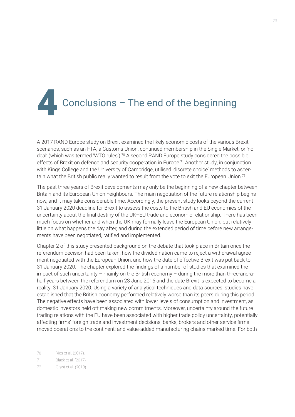

A 2017 RAND Europe study on Brexit examined the likely economic costs of the various Brexit scenarios, such as an FTA, a Customs Union, continued membership in the Single Market, or 'no deal' (which was termed 'WTO rules').<sup>70</sup> A second RAND Europe study considered the possible effects of Brexit on defence and security cooperation in Europe.<sup>71</sup> Another study, in conjunction with Kings College and the University of Cambridge, utilised 'discrete choice' methods to ascertain what the British public really wanted to result from the vote to exit the European Union.72

The past three years of Brexit developments may only be the beginning of a new chapter between Britain and its European Union neighbours. The main negotiation of the future relationship begins now, and it may take considerable time. Accordingly, the present study looks beyond the current 31 January 2020 deadline for Brexit to assess the costs to the British and EU economies of the uncertainty about the final destiny of the UK–EU trade and economic relationship. There has been much focus on whether and when the UK may formally leave the European Union, but relatively little on what happens the day after, and during the extended period of time before new arrangements have been negotiated, ratified and implemented.

Chapter 2 of this study presented background on the debate that took place in Britain once the referendum decision had been taken, how the divided nation came to reject a withdrawal agreement negotiated with the European Union, and how the date of effective Brexit was put back to 31 January 2020. The chapter explored the findings of a number of studies that examined the impact of such uncertainty – mainly on the British economy – during the more than three-and-ahalf years between the referendum on 23 June 2016 and the date Brexit is expected to become a reality: 31 January 2020. Using a variety of analytical techniques and data sources, studies have established that the British economy performed relatively worse than its peers during this period. The negative effects have been associated with lower levels of consumption and investment, as domestic investors held off making new commitments. Moreover, uncertainty around the future trading relations with the EU have been associated with higher trade policy uncertainty, potentially affecting firms' foreign trade and investment decisions; banks, brokers and other service firms moved operations to the continent; and value-added manufacturing chains marked time. For both

<sup>70</sup> Ries et al. (2017).

<sup>71</sup> Black et al. (2017).

<sup>72</sup> Grant et al. (2018).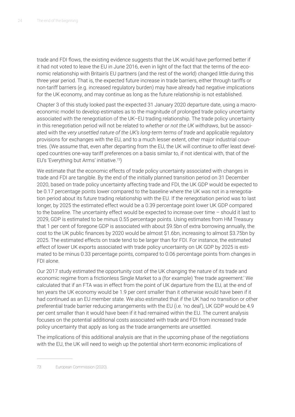trade and FDI flows, the existing evidence suggests that the UK would have performed better if it had not voted to leave the EU in June 2016, even in light of the fact that the terms of the economic relationship with Britain's EU partners (and the rest of the world) changed little during this three year period. That is, the expected future increase in trade barriers, either through tariffs or non-tariff barriers (e.g. increased regulatory burden) may have already had negative implications for the UK economy, and may continue as long as the future relationship is not established.

Chapter 3 of this study looked past the expected 31 January 2020 departure date, using a macroeconomic model to develop estimates as to the magnitude of prolonged trade policy uncertainty associated with the renegotiation of the UK–EU trading relationship. The trade policy uncertainty in this renegotiation period will not be related to *whether or not the UK withdraws*, but be associated with the *very unsettled nature of the UK's long-term terms of trade* and applicable regulatory provisions for exchanges with the EU, and to a much lesser extent, other major industrial countries. (We assume that, even after departing from the EU, the UK will continue to offer least developed countries one-way tariff preferences on a basis similar to, if not identical with, that of the EU's 'Everything but Arms' initiative.73)

We estimate that the economic effects of trade policy uncertainty associated with changes in trade and FDI are tangible. By the end of the initially planned transition period on 31 December 2020, based on trade policy uncertainty affecting trade and FDI, the UK GDP would be expected to be 0.17 percentage points lower compared to the baseline where the UK was not in a renegotiation period about its future trading relationship with the EU. If the renegotiation period was to last longer, by 2025 the estimated effect would be a 0.39 percentage point lower UK GDP compared to the baseline. The uncertainty effect would be expected to increase over time – should it last to 2029, GDP is estimated to be minus 0.55 percentage points. Using estimates from HM Treasury that 1 per cent of foregone GDP is associated with about \$9.5bn of extra borrowing annually, the cost to the UK public finances by 2020 would be almost \$1.6bn, increasing to almost \$3.75bn by 2025. The estimated effects on trade tend to be larger than for FDI. For instance, the estimated effect of lower UK exports associated with trade policy uncertainty on UK GDP by 2025 is estimated to be minus 0.33 percentage points, compared to 0.06 percentage points from changes in FDI alone.

Our 2017 study estimated the opportunity cost of the UK changing the nature of its trade and economic regime from a frictionless Single Market to a (for example) 'free trade agreement.' We calculated that if an FTA was in effect from the point of UK departure from the EU, at the end of ten years the UK economy would be 1.9 per cent smaller than it otherwise would have been if it had continued as an EU member state. We also estimated that if the UK had no transition or other preferential trade barrier reducing arrangements with the EU (i.e. 'no deal'), UK GDP would be 4.9 per cent smaller than it would have been if it had remained within the EU. The current analysis focuses on the potential additional costs associated with trade and FDI from increased trade policy uncertainty that apply as long as the trade arrangements are unsettled.

The implications of this additional analysis are that in the upcoming phase of the negotiations with the EU, the UK will need to weigh up the potential short-term economic implications of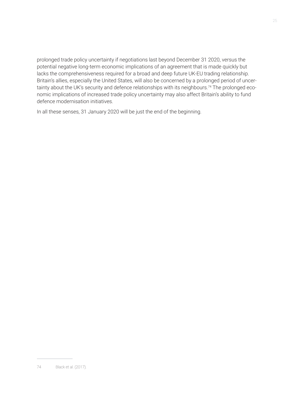prolonged trade policy uncertainty if negotiations last beyond December 31 2020, versus the potential negative long-term economic implications of an agreement that is made quickly but lacks the comprehensiveness required for a broad and deep future UK-EU trading relationship. Britain's allies, especially the United States, will also be concerned by a prolonged period of uncertainty about the UK's security and defence relationships with its neighbours.<sup>74</sup> The prolonged economic implications of increased trade policy uncertainty may also affect Britain's ability to fund defence modernisation initiatives.

In all these senses, 31 January 2020 will be just the end of the beginning.

<sup>74</sup> Black et al. (2017).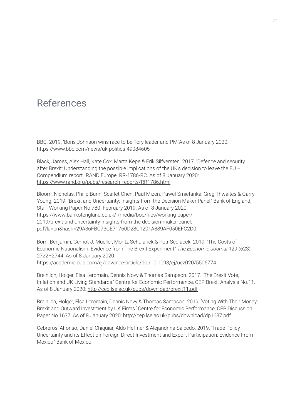## References

BBC. 2019. 'Boris Johnson wins race to be Tory leader and PM.'As of 8 January 2020: <https://www.bbc.com/news/uk-politics-49084605>

Black, James, Alex Hall, Kate Cox, Marta Kepe & Erik Silfversten. 2017. 'Defence and security after Brexit: Understanding the possible implications of the UK's decision to leave the EU – Compendium report.' RAND Europe. RR-1786-RC. As of 8 January 2020: [https://www.rand.org/pubs/research\\_reports/RR1786.html](https://www.rand.org/pubs/research_reports/RR1786.html)

Bloom, Nicholas, Philip Bunn, Scarlet Chen, Paul Mizen, Pawel Smietanka, Greg Thwaites & Garry Young. 2019. 'Brexit and Uncertainty: Insights from the Decision Maker Panel.' Bank of England, Staff Working Paper No 780. February 2019. As of 8 January 2020: https://www.bankofengland.co.uk/-/media/boe/files/working-paper/ 2019/brexit-and-uncertainty-insights-from-the-decision-maker-panel. [pdf?la=en&hash=29A36FBC73CE71760D28C1201A889AF050EFC2D0](https://www.bankofengland.co.uk/-/media/boe/files/working-paper/2019/brexit-and-uncertainty-insights-from-the-decision-maker-panel.pdf?la=en&hash=29A36FBC73CE71760D28C1201A889AF050EFC2D0)

Born, Benjamin, Gernot J. Mueller, Moritz Schularick & Petr Sedlacek. 2019. 'The Costs of Economic Nationalism: Evidence from The Brexit Experiment.' *The Economic Journal* 129 (623): 2722–2744. As of 8 January 2020:

<https://academic.oup.com/ej/advance-article/doi/10.1093/ej/uez020/5506774>

Breinlich, Holger, Elsa Leromain, Dennis Novy & Thomas Sampson. 2017. 'The Brexit Vote, Inflation and UK Living Standards.' Centre for Economic Performance, CEP Brexit Analysis No.11. As of 8 January 2020: <http://cep.lse.ac.uk/pubs/download/brexit11.pdf>

Breinlich, Holger, Elsa Leromain, Dennis Novy & Thomas Sampson. 2019. 'Voting With Their Money: Brexit and Outward Investment by UK Firms.' Centre for Economic Performance, CEP Discussion Paper No.1637. As of 8 January 2020: <http://cep.lse.ac.uk/pubs/download/dp1637.pdf>

Cebreros, Alfonso, Daniel Chiquiar, Aldo Heffner & Alejandrina Salcedo. 2019. 'Trade Policy Uncertainty and its Effect on Foreign Direct Investment and Export Participation: Evidence From Mexico.' Bank of Mexico.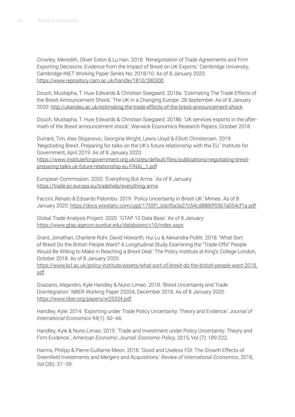Crowley, Meredith, Oliver Exton & Lu Han. 2018. 'Renegotiation of Trade Agreements and Firm Exporting Decisions: Evidence from the Impact of Brexit on UK Exports.' Cambridge University, Cambridge-INET Working Paper Series No: 2018/10. As of 8 January 2020: <https://www.repository.cam.ac.uk/handle/1810/280300>

Douch, Mustapha, T. Huw Edwards & Christian Soegaard. 2018a. 'Estimating The Trade Effects of the Brexit Announcement Shock.' The UK in a Changing Europe. 28 September. As of 8 January 2020:<http://ukandeu.ac.uk/estimating-the-trade-effects-of-the-brexit-announcement-shock>

Douch, Mustapha, T. Huw Edwards & Christian Soegaard. 2018b. 'UK services exports in the aftermath of the Brexit announcement shock', Warwick Economics Research Papers, October 2018.

Durrant, Tim, Alex Stojanovic, Georgina Wright, Lewis Lloyd & Elliott Christensen. 2019. 'Negotiating Brexit. Preparing for talks on the UK's future relationship with the EU.' Institute for Government, April 2019. As of 8 January 2020:

[https://www.instituteforgovernment.org.uk/sites/default/files/publications/negotiating-brexit](https://www.instituteforgovernment.org.uk/sites/default/files/publications/negotiating-brexit-preparing-talks-uk-future-relationship-eu-FINAL_1.pdf)preparing-talks-uk-future-relationship-eu-FINAL\_1.pdf

European Commission. 2020. 'Everything But Arms.' As of 8 January: <https://trade.ec.europa.eu/tradehelp/everything-arms>

Faccini, Renato & Edoardo Palombo. 2019. 'Policy Uncertainty in Brexit UK.' Mimeo. As of 8 January 2020: [https://docs.wixstatic.com/ugd/1755f1\\_bdcf0a3a27c54cd8880f55b7a054cf1a.pdf](https://docs.wixstatic.com/ugd/1755f1_bdcf0a3a27c54cd8880f55b7a054cf1a.pdf)

Global Trade Analysis Project. 2020. 'GTAP 10 Data Base.' As of 8 January: <https://www.gtap.agecon.purdue.edu/databases/v10/index.aspx>

Grant, Jonathan, Charlene Rohr, David Howarth, Hui Lu & Alexandra Pollitt. 2018. 'What Sort of Brexit Do the British People Want? A Longitudinal Study Examining the "Trade-Offs" People Would Be Willing to Make in Reaching a Brexit Deal.' The Policy Institute at King's College London, October 2018. As of 8 January 2020:

[https://www.kcl.ac.uk/policy-institute/assets/what-sort-of-brexit-do-the-british-people-want-2018.](https://www.kcl.ac.uk/policy-institute/assets/what-sort-of-brexit-do-the-british-people-want-2018.pdf) pdf

Graziano, Alejandro, Kyle Handley & Nuno Limao. 2018. 'Brexit Uncertainty and Trade Disintegration.' NBER Working Paper 25334, December 2018. As of 8 January 2020: <https://www.nber.org/papers/w25334.pdf>

Handley, Kyle. 2014. 'Exporting under Trade Policy Uncertainty: Theory and Evidence.' *Journal of International Economics* 94(1): 50–66.

Handley, Kyle & Nuno Limao. 2015. 'Trade and Investment under Policy Uncertainty: Theory and Firm Evidence.', *American Economic Journal: Economic Policy*, 2015, Vol (7): 189-222.

Harms, Philipp & Pierre-Guillame Meon. 2018. 'Good and Useless FDI: The Growth Effects of Greenfield Investments and Mergers and Acquisitions.' *Review of International Economics*, 2018, Vol (26): 37–59.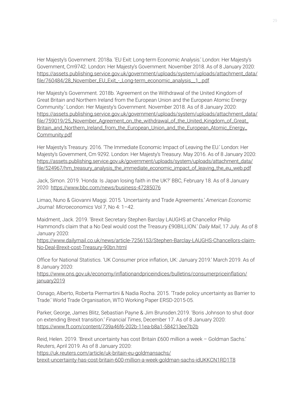Her Majesty's Government. 2018a. 'EU Exit: Long-term Economic Analysis.' London: Her Majesty's Government, Cm9742. London: Her Majesty's Government. November 2018. As of 8 January 2020: [https://assets.publishing.service.gov.uk/government/uploads/system/uploads/attachment\\_data/](https://assets.publishing.service.gov.uk/government/uploads/system/uploads/attachment_data/file/760484/28_November_EU_Exit_-_Long-term_economic_analysis__1_.pdf) file/760484/28\_November\_EU\_Exit\_-\_Long-term\_economic\_analysis\_\_1\_.pdf

Her Majesty's Government. 2018b. 'Agreement on the Withdrawal of the United Kingdom of Great Britain and Northern Ireland from the European Union and the European Atomic Energy Community.' London: Her Majesty's Government. November 2018. As of 8 January 2020: [https://assets.publishing.service.gov.uk/government/uploads/system/uploads/attachment\\_data/](https://assets.publishing.service.gov.uk/government/uploads/system/uploads/attachment_data/file/759019/25_November_Agreement_on_the_withdrawal_of_the_United_Kingdom_of_Great_Britain_and_Northern_Ireland_from_the_European_Union_and_the_European_Atomic_Energy_Community.pdf) file/759019/25 November Agreement on the withdrawal of the United Kingdom of Great Britain\_and\_Northern\_Ireland\_from\_the\_European\_Union\_and\_the\_European\_Atomic\_Energy\_ Community.pdf

Her Majesty's Treasury. 2016. 'The Immediate Economic Impact of Leaving the EU.' London: Her Majesty's Government, Cm 9292. London: Her Majesty's Treasury. May 2016. As of 8 January 2020: [https://assets.publishing.service.gov.uk/government/uploads/system/uploads/attachment\\_data/](https://assets.publishing.service.gov.uk/government/uploads/system/uploads/attachment_data/file/524967/hm_treasury_analysis_the_immediate_economic_impact_of_leaving_the_eu_web.pdf) file/524967/hm\_treasury\_analysis\_the\_immediate\_economic\_impact\_of\_leaving\_the\_eu\_web.pdf

Jack, Simon. 2019. 'Honda: Is Japan losing faith in the UK?' BBC, February 18. As of 8 January 2020: <https://www.bbc.com/news/business-47285076>

Limao, Nuno & Giovanni Maggi. 2015. 'Uncertainty and Trade Agreements.' *American Economic Journal: Microeconomics* Vol 7, No 4: 1–42.

Maidment, Jack. 2019. 'Brexit Secretary Stephen Barclay LAUGHS at Chancellor Philip Hammond's claim that a No Deal would cost the Treasury £90BILLION.' *Daily Mail*, 17 July. As of 8 January 2020:

[https://www.dailymail.co.uk/news/article-7256153/Stephen-Barclay-LAUGHS-Chancellors-claim-](https://www.dailymail.co.uk/news/article-7256153/Stephen-Barclay-LAUGHS-Chancellors-claim-No-Deal-Brexit-cost-Treasury-90bn.html)No-Deal-Brexit-cost-Treasury-90bn.html

Office for National Statistics. 'UK Consumer price inflation, UK: January 2019.' March 2019. As of 8 January 2020:

[https://www.ons.gov.uk/economy/inflationandpriceindices/bulletins/consumerpriceinflation/](https://www.ons.gov.uk/economy/inflationandpriceindices/bulletins/consumerpriceinflation/january2019) january2019

Osnago, Alberto, Roberta Piermartini & Nadia Rocha. 2015. 'Trade policy uncertainty as Barrier to Trade.' World Trade Organisation, WTO Working Paper ERSD-2015-05.

Parker, George, James Blitz, Sebastian Payne & Jim Brunsden.2019. 'Boris Johnson to shut door on extending Brexit transition.' *Financial Times*, December 17. As of 8 January 2020: <https://www.ft.com/content/739a46f6-202b-11ea-b8a1-584213ee7b2b>

Reid, Helen. 2019. 'Brexit uncertainty has cost Britain £600 million a week – Goldman Sachs.' Reuters, April 2019. As of 8 January 2020:

https://uk.reuters.com/article/uk-britain-eu-goldmansachs/

[brexit-uncertainty-has-cost-britain-600-million-a-week-goldman-sachs-idUKKCN1RD1T8](https://uk.reuters.com/article/uk-britain-eu-goldmansachs/brexit-uncertainty-has-cost-britain-600-million-a-week-goldman-sachs-idUKKCN1RD1T8)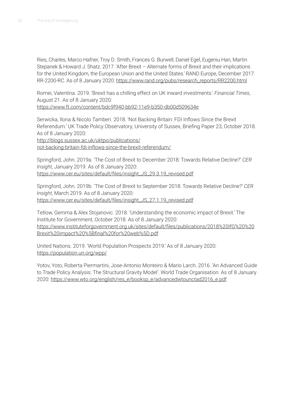Ries, Charles, Marco Hafner, Troy D. Smith, Frances G. Burwell, Daniel Egel, Eugeniu Han, Martin Stepanek & Howard J. Shatz. 2017. 'After Brexit – Alternate forms of Brexit and their implications for the United Kingdom, the European Union and the United States.' RAND Europe, December 2017. RR-2200-RC. As of 8 January 2020: [https://www.rand.org/pubs/research\\_reports/RR2200.html](https://www.rand.org/pubs/research_reports/RR2200.html)

Romei, Valentina. 2019. 'Brexit has a chilling effect on UK inward investments.' *Financial Times*, August 21. As of 8 January 2020:

<https://www.ft.com/content/bdc9f940-bb92-11e9-b350-db00d509634e>

Serwicka, Ilona & Nicolo Tamberi. 2018. 'Not Backing Britain: FDI Inflows Since the Brexit Referendum.' UK Trade Policy Observatory, University of Sussex, Briefing Paper 23, October 2018. As of 8 January 2020:

http://blogs.sussex.ac.uk/uktpo/publications/ [not-backing-britain-fdi-inflows-since-the-brexit-referendum/](http://blogs.sussex.ac.uk/uktpo/publications/not-backing-britain-fdi-inflows-since-the-brexit-referendum/)

Springford, John. 2019a. 'The Cost of Brexit to December 2018: Towards Relative Decline?' *CER Insight*, January 2019. As of 8 January 2020: [https://www.cer.eu/sites/default/files/insight\\_JS\\_29.3.19\\_revised.pdf](https://www.cer.eu/sites/default/files/insight_JS_29.3.19_revised.pdf)

Springford, John. 2019b. 'The Cost of Brexit to September 2018: Towards Relative Decline?' *CER Insight*, March 2019. As of 8 January 2020: [https://www.cer.eu/sites/default/files/insight\\_JS\\_27.1.19\\_revised.pdf](https://www.cer.eu/sites/default/files/insight_JS_27.1.19_revised.pdf)

Tetlow, Gemma & Alex Stojanovic. 2018. 'Understanding the economic impact of Brexit.' The Institute for Government, October 2018. As of 8 January 2020: [https://www.instituteforgovernment.org.uk/sites/default/files/publications/2018%20IfG%20%20](https://www.instituteforgovernment.org.uk/sites/default/files/publications/2018%20IfG%20%20Brexit%20impact%20%5Bfinal%20for%20web%5D.pdf) Brexit%20impact%20%5Bfinal%20for%20web%5D.pdf

United Nations. 2019. 'World Population Prospects 2019.' As of 8 January 2020: <https://population.un.org/wpp/>

Yotov, Yoto, Roberta Piermartini, Jose-Antonio Monteiro & Mario Larch. 2016. 'An Advanced Guide to Trade Policy Analysis: The Structural Gravity Model'. World Trade Organisation. As of 8 January 2020: [https://www.wto.org/english/res\\_e/booksp\\_e/advancedwtounctad2016\\_e.pdf](https://www.wto.org/english/res_e/booksp_e/advancedwtounctad2016_e.pdf)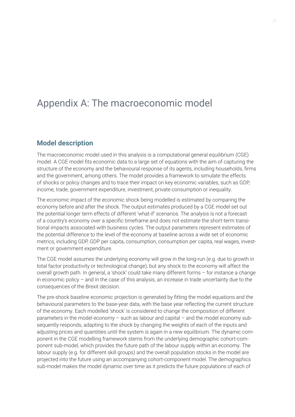## Appendix A: The macroeconomic model

#### **Model description**

The macroeconomic model used in this analysis is a computational general equilibrium (CGE) model. A CGE model fits economic data to a large set of equations with the aim of capturing the structure of the economy and the behavioural response of its agents, including households, firms and the government, among others. The model provides a framework to simulate the effects of shocks or policy changes and to trace their impact on key economic variables, such as GDP, income, trade, government expenditure, investment, private consumption or inequality.

The economic impact of the economic shock being modelled is estimated by comparing the economy before and after the shock. The output estimates produced by a CGE model set out the potential longer term effects of different 'what-if' scenarios. The analysis is not a forecast of a country's economy over a specific timeframe and does not estimate the short-term transitional impacts associated with business cycles. The output parameters represent estimates of the potential difference to the level of the economy at baseline across a wide set of economic metrics, including GDP, GDP per capita, consumption, consumption per capita, real wages, investment or government expenditure.

The CGE model assumes the underlying economy will grow in the long-run (e.g. due to growth in total factor productivity or technological change), but any shock to the economy will affect the overall growth path. In general, a 'shock' could take many different forms – for instance a change in economic policy – and in the case of this analysis, an increase in trade uncertainty due to the consequences of the Brexit decision.

The pre-shock baseline economic projection is generated by fitting the model equations and the behavioural parameters to the base-year data, with the base year reflecting the current structure of the economy. Each modelled 'shock' is considered to change the composition of different parameters in the model economy – such as labour and capital – and the model economy subsequently responds, adapting to the shock by changing the weights of each of the inputs and adjusting prices and quantities until the system is again in a new equilibrium. The dynamic component in the CGE modelling framework stems from the underlying demographic cohort-component sub-model, which provides the future path of the labour supply within an economy. The labour supply (e.g. for different skill groups) and the overall population stocks in the model are projected into the future using an accompanying cohort-component model. The demographics sub-model makes the model dynamic over time as it predicts the future populations of each of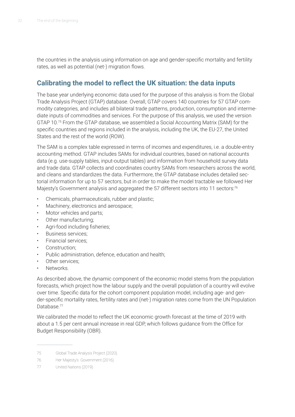the countries in the analysis using information on age and gender-specific mortality and fertility rates, as well as potential (net-) migration flows.

#### **Calibrating the model to reflect the UK situation: the data inputs**

The base year underlying economic data used for the purpose of this analysis is from the Global Trade Analysis Project (GTAP) database. Overall, GTAP covers 140 countries for 57 GTAP commodity categories, and includes all bilateral trade patterns, production, consumption and intermediate inputs of commodities and services. For the purpose of this analysis, we used the version GTAP 10.75 From the GTAP database, we assembled a Social Accounting Matrix (SAM) for the specific countries and regions included in the analysis, including the UK, the EU-27, the United States and the rest of the world (ROW).

The SAM is a complex table expressed in terms of incomes and expenditures, i.e. a double-entry accounting method. GTAP includes SAMs for individual countries, based on national accounts data (e.g. use-supply tables, input-output tables) and information from household survey data and trade data. GTAP collects and coordinates country SAMs from researchers across the world, and cleans and standardizes the data. Furthermore, the GTAP database includes detailed sectorial information for up to 57 sectors, but in order to make the model tractable we followed Her Majesty's Government analysis and aggregated the 57 different sectors into 11 sectors:<sup>76</sup>

- Chemicals, pharmaceuticals, rubber and plastic;
- Machinery, electronics and aerospace;
- Motor vehicles and parts;
- Other manufacturing;
- Agri-food including fisheries;
- Business services;
- Financial services;
- Construction;
- Public administration, defence, education and health;
- Other services:
- Networks.

As described above, the dynamic component of the economic model stems from the population forecasts, which project how the labour supply and the overall population of a country will evolve over time. Specific data for the cohort component population model, including age- and gender-specific mortality rates, fertility rates and (net-) migration rates come from the UN Population Database.<sup>77</sup>

We calibrated the model to reflect the UK economic growth forecast at the time of 2019 with about a 1.5 per cent annual increase in real GDP, which follows guidance from the Office for Budget Responsibility (OBR).

<sup>75</sup> Global Trade Analysis Project (2020).

<sup>76</sup> Her Majesty's Government (2016).

<sup>77</sup> United Nations (2019).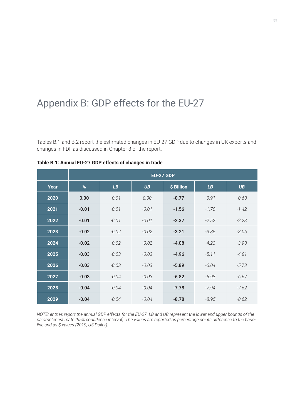## Appendix B: GDP effects for the EU-27

Tables B.1 and B.2 report the estimated changes in EU-27 GDP due to changes in UK exports and changes in FDI, as discussed in Chapter 3 of the report.

|      | <b>EU-27 GDP</b> |         |           |            |         |           |  |  |  |  |
|------|------------------|---------|-----------|------------|---------|-----------|--|--|--|--|
| Year | %                | LB      | <b>UB</b> | \$ Billion | LB      | <b>UB</b> |  |  |  |  |
| 2020 | 0.00             | $-0.01$ | 0.00      | $-0.77$    | $-0.91$ | $-0.63$   |  |  |  |  |
| 2021 | $-0.01$          | $-0.01$ | $-0.01$   | $-1.56$    | $-1.70$ | $-1.42$   |  |  |  |  |
| 2022 | $-0.01$          | $-0.01$ | $-0.01$   | $-2.37$    | $-2.52$ | $-2.23$   |  |  |  |  |
| 2023 | $-0.02$          | $-0.02$ | $-0.02$   | $-3.21$    | $-3.35$ | $-3.06$   |  |  |  |  |
| 2024 | $-0.02$          | $-0.02$ | $-0.02$   | $-4.08$    | $-4.23$ | $-3.93$   |  |  |  |  |
| 2025 | $-0.03$          | $-0.03$ | $-0.03$   | $-4.96$    | $-5.11$ | $-4.81$   |  |  |  |  |
| 2026 | $-0.03$          | $-0.03$ | $-0.03$   | $-5.89$    | $-6.04$ | $-5.73$   |  |  |  |  |
| 2027 | $-0.03$          | $-0.04$ | $-0.03$   | $-6.82$    | $-6.98$ | $-6.67$   |  |  |  |  |
| 2028 | $-0.04$          | $-0.04$ | $-0.04$   | $-7.78$    | $-7.94$ | $-7.62$   |  |  |  |  |
| 2029 | $-0.04$          | $-0.04$ | $-0.04$   | $-8.78$    | $-8.95$ | $-8.62$   |  |  |  |  |

#### **Table B.1: Annual EU-27 GDP effects of changes in trade**

*NOTE: entries report the annual GDP effects for the EU-27. LB and UB represent the lower and upper bounds of the parameter estimate (95% confidence interval). The values are reported as percentage points difference to the baseline and as \$ values (2019, US Dollar).*